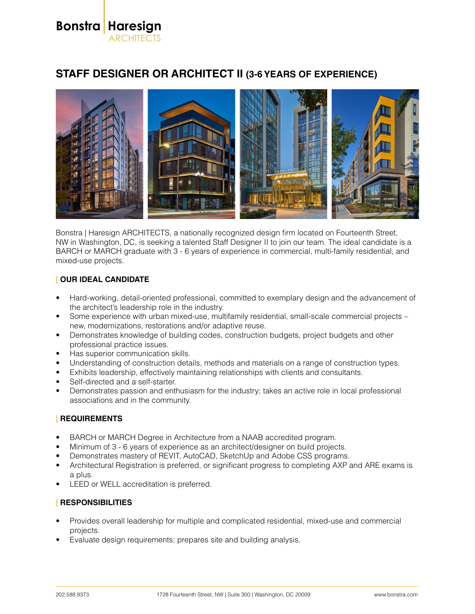**Bonstra Haresign** ARCHITECTS

# **STAFF DESIGNER OR ARCHITECT II (3-6 YEARS OF EXPERIENCE)**



Bonstra | Haresign ARCHITECTS, a nationally recognized design firm located on Fourteenth Street, NW in Washington, DC, is seeking a talented Staff Designer II to join our team. The ideal candidate is a BARCH or MARCH graduate with 3 - 6 years of experience in commercial, multi-family residential, and mixed-use projects.

### **| OUR IDEAL CANDIDATE**

- Hard-working, detail-oriented professional, committed to exemplary design and the advancement of the architect's leadership role in the industry.
- Some experience with urban mixed-use, multifamily residential, small-scale commercial projects new, modernizations, restorations and/or adaptive reuse.
- Demonstrates knowledge of building codes, construction budgets, project budgets and other professional practice issues.
- Has superior communication skills.
- Understanding of construction details, methods and materials on a range of construction types.
- Exhibits leadership, effectively maintaining relationships with clients and consultants.
- Self-directed and a self-starter.
- Demonstrates passion and enthusiasm for the industry; takes an active role in local professional associations and in the community.

#### **| REQUIREMENTS**

- BARCH or MARCH Degree in Architecture from a NAAB accredited program.
- Minimum of 3 6 years of experience as an architect/designer on build projects.
- Demonstrates mastery of REVIT, AutoCAD, SketchUp and Adobe CSS programs.
- Architectural Registration is preferred, or significant progress to completing AXP and ARE exams is a plus.
- LEED or WELL accreditation is preferred.

#### **| RESPONSIBILITIES**

- Provides overall leadership for multiple and complicated residential, mixed-use and commercial projects.
- Evaluate design requirements; prepares site and building analysis.